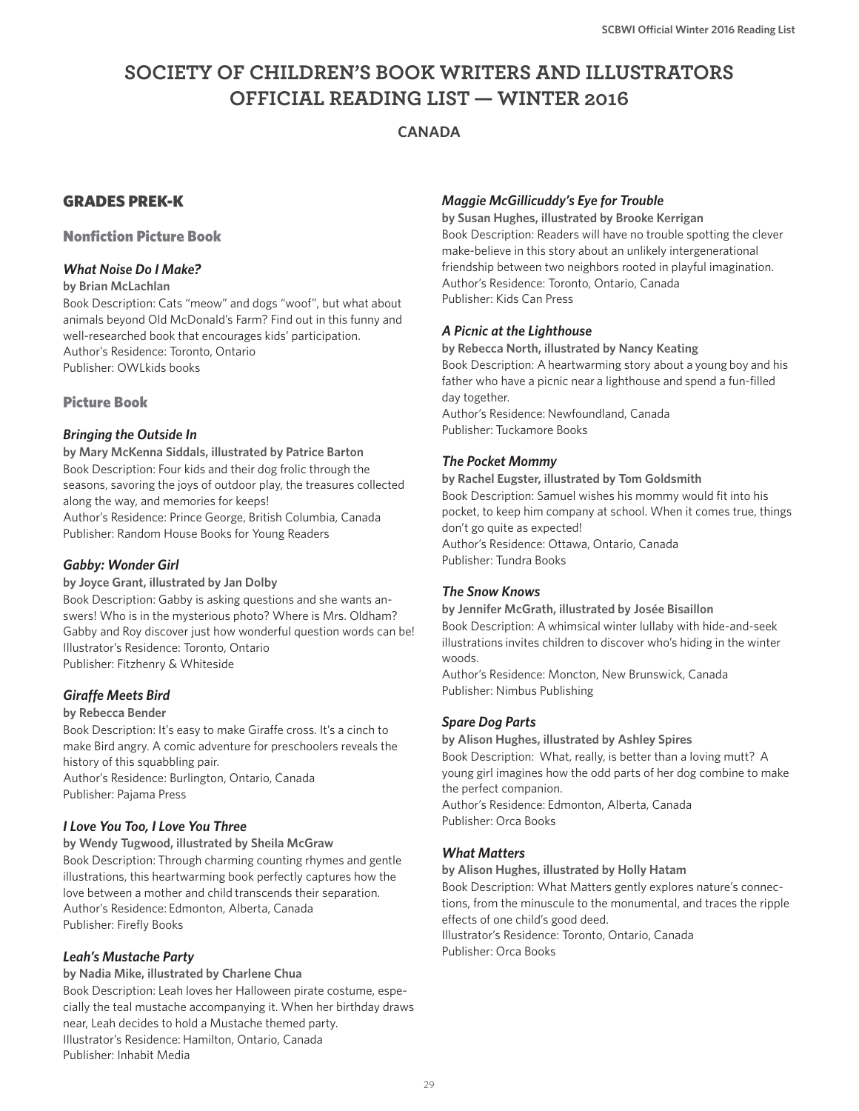# **SOCIETY OF CHILDREN'S BOOK WRITERS AND ILLUSTRATORS OFFICIAL READING LIST — WINTER 2016**

# **CANADA**

# GRADES PREK-K

### Nonfiction Picture Book

### *What Noise Do I Make?*

#### **by Brian McLachlan**

Book Description: Cats "meow" and dogs "woof", but what about animals beyond Old McDonald's Farm? Find out in this funny and well-researched book that encourages kids' participation. Author's Residence: Toronto, Ontario Publisher: OWLkids books

### Picture Book

### *Bringing the Outside In*

**by Mary McKenna Siddals, illustrated by Patrice Barton** Book Description: Four kids and their dog frolic through the seasons, savoring the joys of outdoor play, the treasures collected along the way, and memories for keeps! Author's Residence: Prince George, British Columbia, Canada

Publisher: Random House Books for Young Readers

### *Gabby: Wonder Girl*

#### **by Joyce Grant, illustrated by Jan Dolby**

Book Description: Gabby is asking questions and she wants answers! Who is in the mysterious photo? Where is Mrs. Oldham? Gabby and Roy discover just how wonderful question words can be! Illustrator's Residence: Toronto, Ontario Publisher: Fitzhenry & Whiteside

#### *Giraffe Meets Bird*

#### **by Rebecca Bender**

Book Description: It's easy to make Giraffe cross. It's a cinch to make Bird angry. A comic adventure for preschoolers reveals the history of this squabbling pair. Author's Residence: Burlington, Ontario, Canada Publisher: Pajama Press

#### *I Love You Too, I Love You Three*

**by Wendy Tugwood, illustrated by Sheila McGraw** Book Description: Through charming counting rhymes and gentle illustrations, this heartwarming book perfectly captures how the love between a mother and child transcends their separation. Author's Residence: Edmonton, Alberta, Canada Publisher: Firefly Books

#### *Leah's Mustache Party*

#### **by Nadia Mike, illustrated by Charlene Chua**

Book Description: Leah loves her Halloween pirate costume, especially the teal mustache accompanying it. When her birthday draws near, Leah decides to hold a Mustache themed party. Illustrator's Residence: Hamilton, Ontario, Canada Publisher: Inhabit Media

### *Maggie McGillicuddy's Eye for Trouble*

**by Susan Hughes, illustrated by Brooke Kerrigan** Book Description: Readers will have no trouble spotting the clever make-believe in this story about an unlikely intergenerational friendship between two neighbors rooted in playful imagination. Author's Residence: Toronto, Ontario, Canada Publisher: Kids Can Press

### *A Picnic at the Lighthouse*

**by Rebecca North, illustrated by Nancy Keating** Book Description: A heartwarming story about a young boy and his father who have a picnic near a lighthouse and spend a fun-filled day together. Author's Residence: Newfoundland, Canada Publisher: Tuckamore Books

### *The Pocket Mommy*

**by Rachel Eugster, illustrated by Tom Goldsmith** Book Description: Samuel wishes his mommy would fit into his pocket, to keep him company at school. When it comes true, things don't go quite as expected! Author's Residence: Ottawa, Ontario, Canada Publisher: Tundra Books

### *The Snow Knows*

**by Jennifer McGrath, illustrated by Josée Bisaillon** Book Description: A whimsical winter lullaby with hide-and-seek illustrations invites children to discover who's hiding in the winter woods.

Author's Residence: Moncton, New Brunswick, Canada Publisher: Nimbus Publishing

#### *Spare Dog Parts*

**by Alison Hughes, illustrated by Ashley Spires** Book Description: What, really, is better than a loving mutt? A young girl imagines how the odd parts of her dog combine to make the perfect companion. Author's Residence: Edmonton, Alberta, Canada Publisher: Orca Books

#### *What Matters*

**by Alison Hughes, illustrated by Holly Hatam**

Book Description: What Matters gently explores nature's connections, from the minuscule to the monumental, and traces the ripple effects of one child's good deed. Illustrator's Residence: Toronto, Ontario, Canada Publisher: Orca Books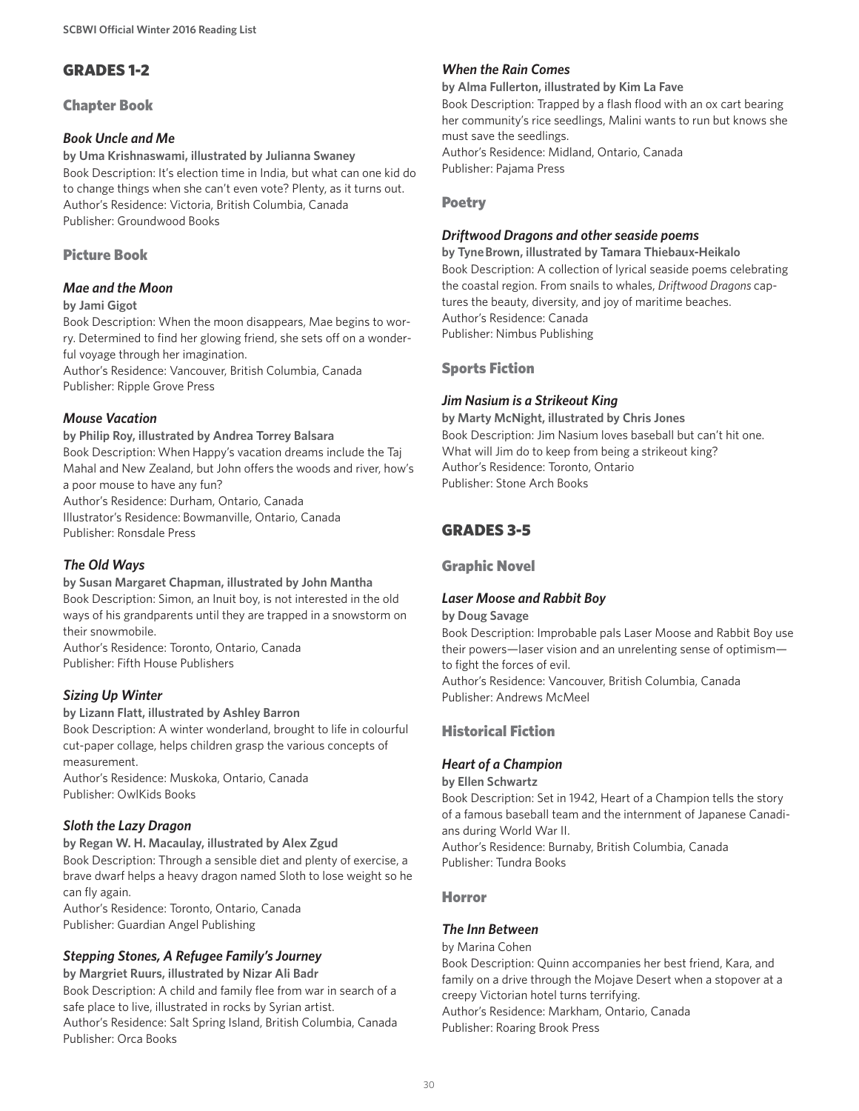# GRADES 1-2

Chapter Book

### *Book Uncle and Me*

**by Uma Krishnaswami, illustrated by Julianna Swaney** Book Description: It's election time in India, but what can one kid do to change things when she can't even vote? Plenty, as it turns out. Author's Residence: Victoria, British Columbia, Canada Publisher: Groundwood Books

### Picture Book

### *Mae and the Moon*

#### **by Jami Gigot**

Book Description: When the moon disappears, Mae begins to worry. Determined to find her glowing friend, she sets off on a wonderful voyage through her imagination.

Author's Residence: Vancouver, British Columbia, Canada Publisher: Ripple Grove Press

### *Mouse Vacation*

#### **by Philip Roy, illustrated by Andrea Torrey Balsara**

Book Description: When Happy's vacation dreams include the Taj Mahal and New Zealand, but John offers the woods and river, how's a poor mouse to have any fun?

Author's Residence: Durham, Ontario, Canada

Illustrator's Residence: Bowmanville, Ontario, Canada Publisher: Ronsdale Press

### *The Old Ways*

### **by Susan Margaret Chapman, illustrated by John Mantha**

Book Description: Simon, an Inuit boy, is not interested in the old ways of his grandparents until they are trapped in a snowstorm on their snowmobile.

Author's Residence: Toronto, Ontario, Canada Publisher: Fifth House Publishers

### *Sizing Up Winter*

#### **by Lizann Flatt, illustrated by Ashley Barron**

Book Description: A winter wonderland, brought to life in colourful cut-paper collage, helps children grasp the various concepts of measurement.

Author's Residence: Muskoka, Ontario, Canada Publisher: OwlKids Books

### *Sloth the Lazy Dragon*

**by Regan W. H. Macaulay, illustrated by Alex Zgud** Book Description: Through a sensible diet and plenty of exercise, a brave dwarf helps a heavy dragon named Sloth to lose weight so he can fly again.

Author's Residence: Toronto, Ontario, Canada Publisher: Guardian Angel Publishing

# *Stepping Stones, A Refugee Family's Journey*

**by Margriet Ruurs, illustrated by Nizar Ali Badr**

Book Description: A child and family flee from war in search of a safe place to live, illustrated in rocks by Syrian artist. Author's Residence: Salt Spring Island, British Columbia, Canada Publisher: Orca Books

### *When the Rain Comes*

#### **by Alma Fullerton, illustrated by Kim La Fave**

Book Description: Trapped by a flash flood with an ox cart bearing her community's rice seedlings, Malini wants to run but knows she must save the seedlings. Author's Residence: Midland, Ontario, Canada Publisher: Pajama Press

### Poetry

#### *Driftwood Dragons and other seaside poems*

**by Tyne Brown, illustrated by Tamara Thiebaux-Heikalo** Book Description: A collection of lyrical seaside poems celebrating the coastal region. From snails to whales, *Driftwood Dragons* captures the beauty, diversity, and joy of maritime beaches. Author's Residence: Canada Publisher: Nimbus Publishing

#### Sports Fiction

### *Jim Nasium is a Strikeout King*

**by Marty McNight, illustrated by Chris Jones** Book Description: Jim Nasium loves baseball but can't hit one. What will Jim do to keep from being a strikeout king? Author's Residence: Toronto, Ontario Publisher: Stone Arch Books

# GRADES 3-5

#### Graphic Novel

#### *Laser Moose and Rabbit Boy*

#### **by Doug Savage**

Book Description: Improbable pals Laser Moose and Rabbit Boy use their powers—laser vision and an unrelenting sense of optimism to fight the forces of evil. Author's Residence: Vancouver, British Columbia, Canada

Publisher: Andrews McMeel

### Historical Fiction

### *Heart of a Champion*

**by Ellen Schwartz** Book Description: Set in 1942, Heart of a Champion tells the story of a famous baseball team and the internment of Japanese Canadians during World War II.

Author's Residence: Burnaby, British Columbia, Canada Publisher: Tundra Books

#### Horror

#### *The Inn Between*

by Marina Cohen Book Description: Quinn accompanies her best friend, Kara, and family on a drive through the Mojave Desert when a stopover at a creepy Victorian hotel turns terrifying. Author's Residence: Markham, Ontario, Canada Publisher: Roaring Brook Press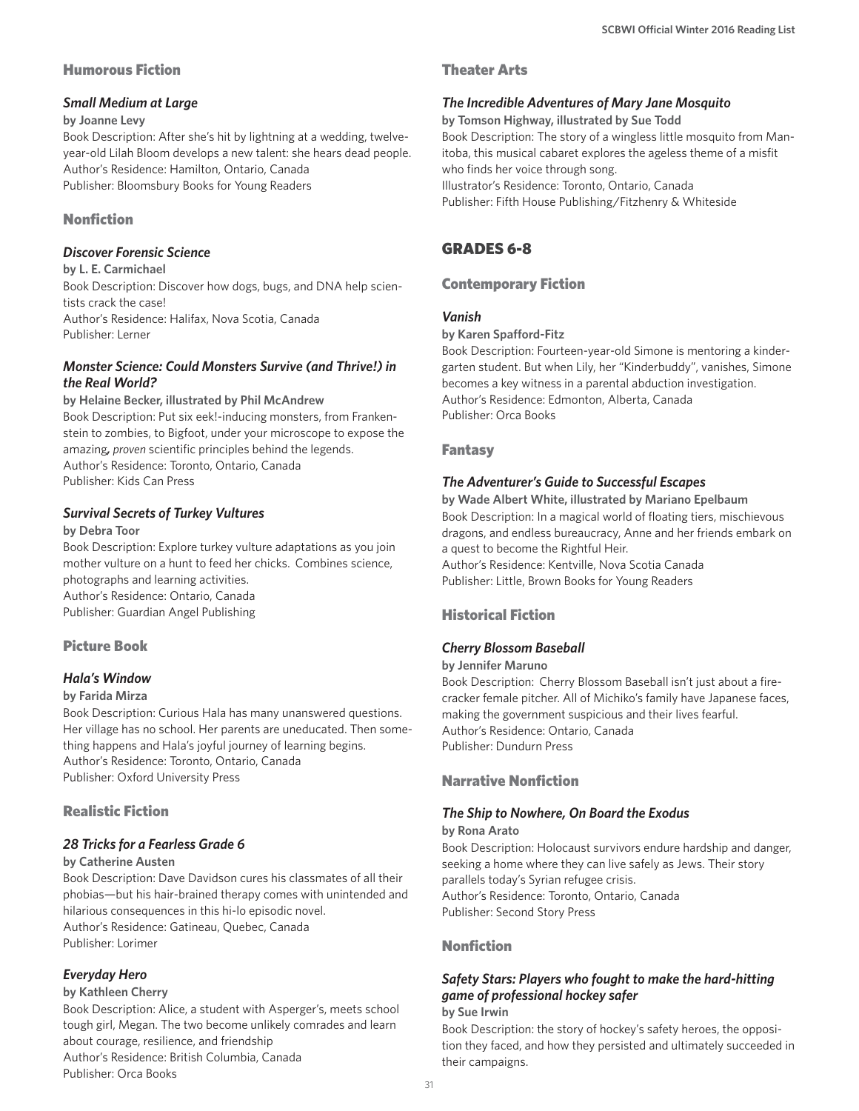### Humorous Fiction

### *Small Medium at Large*

#### **by Joanne Levy**

Book Description: After she's hit by lightning at a wedding, twelveyear-old Lilah Bloom develops a new talent: she hears dead people. Author's Residence: Hamilton, Ontario, Canada Publisher: Bloomsbury Books for Young Readers

# Nonfiction

### *Discover Forensic Science*

**by L. E. Carmichael** Book Description: Discover how dogs, bugs, and DNA help scientists crack the case! Author's Residence: Halifax, Nova Scotia, Canada Publisher: Lerner

#### *Monster Science: Could Monsters Survive (and Thrive!) in the Real World?*

#### **by Helaine Becker, illustrated by Phil McAndrew**

Book Description: Put six eek!-inducing monsters, from Frankenstein to zombies, to Bigfoot, under your microscope to expose the amazing*, proven* scientific principles behind the legends. Author's Residence: Toronto, Ontario, Canada Publisher: Kids Can Press

### *Survival Secrets of Turkey Vultures*

#### **by Debra Toor**

Book Description: Explore turkey vulture adaptations as you join mother vulture on a hunt to feed her chicks. Combines science, photographs and learning activities. Author's Residence: Ontario, Canada Publisher: Guardian Angel Publishing

### Picture Book

### *Hala's Window*

#### **by Farida Mirza**

Book Description: Curious Hala has many unanswered questions. Her village has no school. Her parents are uneducated. Then something happens and Hala's joyful journey of learning begins. Author's Residence: Toronto, Ontario, Canada Publisher: Oxford University Press

### Realistic Fiction

### *28 Tricks for a Fearless Grade 6*

#### **by Catherine Austen**

Book Description: Dave Davidson cures his classmates of all their phobias—but his hair-brained therapy comes with unintended and hilarious consequences in this hi-lo episodic novel. Author's Residence: Gatineau, Quebec, Canada Publisher: Lorimer

### *Everyday Hero*

#### **by Kathleen Cherry**

Book Description: Alice, a student with Asperger's, meets school tough girl, Megan. The two become unlikely comrades and learn about courage, resilience, and friendship Author's Residence: British Columbia, Canada Publisher: Orca Books

### Theater Arts

#### *The Incredible Adventures of Mary Jane Mosquito*

**by Tomson Highway, illustrated by Sue Todd** Book Description: The story of a wingless little mosquito from Manitoba, this musical cabaret explores the ageless theme of a misfit who finds her voice through song. Illustrator's Residence: Toronto, Ontario, Canada Publisher: Fifth House Publishing/Fitzhenry & Whiteside

# GRADES 6-8

### Contemporary Fiction

### *Vanish*

#### **by Karen Spafford-Fitz**

Book Description: Fourteen-year-old Simone is mentoring a kindergarten student. But when Lily, her "Kinderbuddy", vanishes, Simone becomes a key witness in a parental abduction investigation. Author's Residence: Edmonton, Alberta, Canada Publisher: Orca Books

### Fantasy

### *The Adventurer's Guide to Successful Escapes*

**by Wade Albert White, illustrated by Mariano Epelbaum** Book Description: In a magical world of floating tiers, mischievous dragons, and endless bureaucracy, Anne and her friends embark on a quest to become the Rightful Heir. Author's Residence: Kentville, Nova Scotia Canada Publisher: Little, Brown Books for Young Readers

# Historical Fiction

### *Cherry Blossom Baseball*

#### **by Jennifer Maruno**

Book Description: Cherry Blossom Baseball isn't just about a firecracker female pitcher. All of Michiko's family have Japanese faces, making the government suspicious and their lives fearful. Author's Residence: Ontario, Canada Publisher: Dundurn Press

### Narrative Nonfiction

# *The Ship to Nowhere, On Board the Exodus*

#### **by Rona Arato**

Book Description: Holocaust survivors endure hardship and danger, seeking a home where they can live safely as Jews. Their story parallels today's Syrian refugee crisis. Author's Residence: Toronto, Ontario, Canada Publisher: Second Story Press

### Nonfiction

# *Safety Stars: Players who fought to make the hard-hitting game of professional hockey safer*

### **by Sue Irwin**

Book Description: the story of hockey's safety heroes, the opposition they faced, and how they persisted and ultimately succeeded in their campaigns.